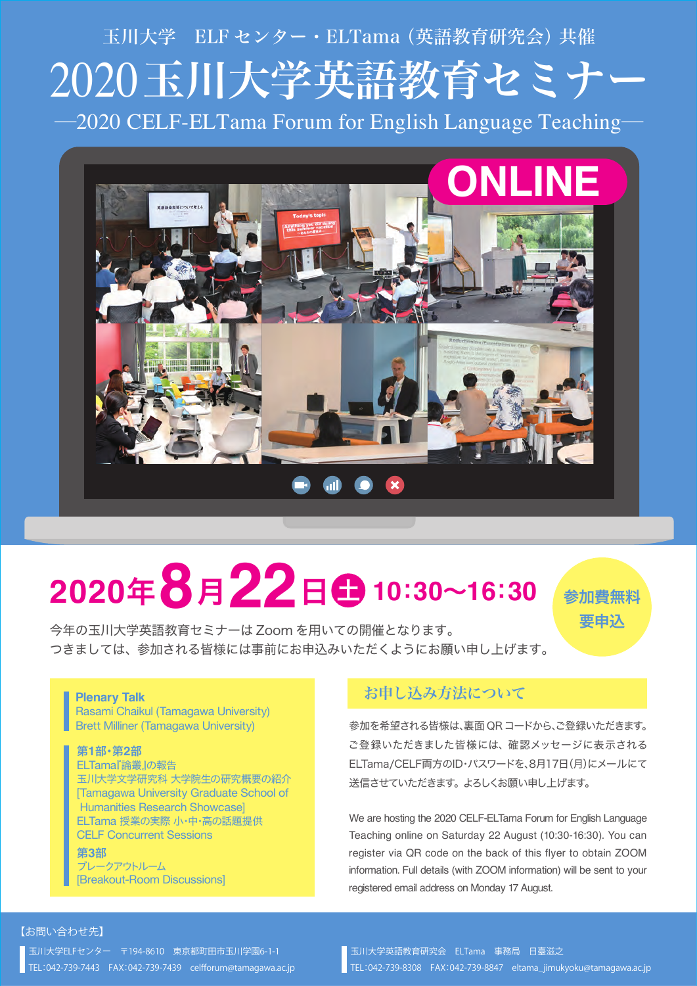# 2020玉川大学英語教育セミナー ―2020 CELF-ELTama Forum for English Language Teaching― 玉川大学 ELF センター・ELTama(英語教育研究会)共催



# **<sup>2020</sup>**年**8**月**22**<sup>日</sup> <sup>土</sup> **<sup>10</sup>**:**30**~**16**:**<sup>30</sup>**

今年の玉川大学英語教育セミナーは Zoom を用いての開催となります。

参加費無料 要申込

つきましては、参加される皆様には事前にお申込みいただくようにお願い申し上げます。

#### **Plenary Talk**

Rasami Chaikul (Tamagawa University) Brett Milliner (Tamagawa University)

#### 第**1**部・第**2**部

ELTama『論叢』の報告 玉川大学文学研究科 大学院生の研究概要の紹介 [Tamagawa University Graduate School of Humanities Research Showcase] ELTama 授業の実際 小・中・高の話題提供 CELF Concurrent Sessions

第**3**部 ブレークアウトルーム [Breakout-Room Discussions]

### お申し込み方法について

参加を希望される皆様は、裏面 QRコードから、ご登録いただきます。 ご登録いただきました皆様には、確認メッセージに表示される ELTama/CELF両方のID・パスワードを、8月17日(月)にメールにて 送信させていただきます。よろしくお願い申し上げます。

We are hosting the 2020 CELF-ELTama Forum for English Language Teaching online on Saturday 22 August (10:30-16:30). You can register via QR code on the back of this flyer to obtain ZOOM information. Full details (with ZOOM information) will be sent to your registered email address on Monday 17 August.

#### 【お問い合わせ先】

玉川大学ELFセンター 〒194-8610 東京都町田市玉川学園6-1-1 TEL:042-739-7443 FAX:042-739-7439 celfforum@tamagawa.ac.jp